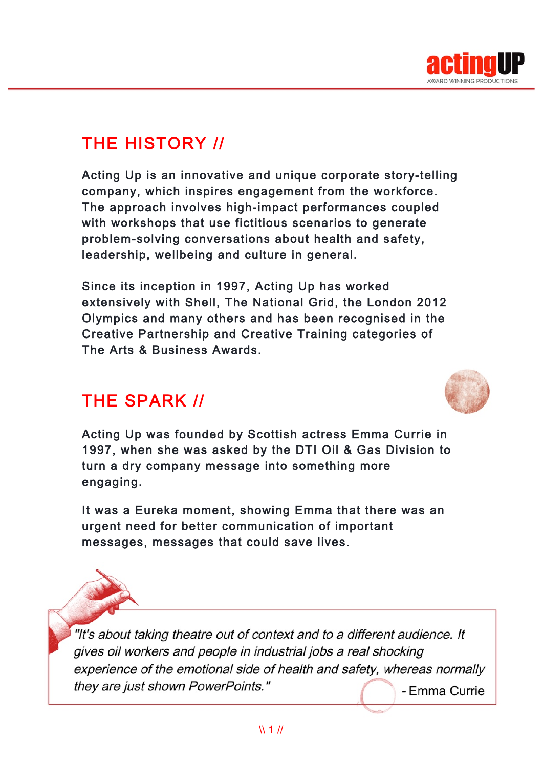

# THE HISTORY //

Acting Up is an innovative and unique corporate story-telling company, which inspires engagement from the workforce. The approach involves high-impact performances coupled with workshops that use fictitious scenarios to generate problem-solving conversations about health and safety, leadership, wellbeing and culture in general.

Since its inception in 1997, Acting Up has worked extensively with Shell, The National Grid, the London 2012 Olympics and many others and has been recognised in the Creative Partnership and Creative Training categories of The Arts & Business Awards.

## THE SPARK //



Acting Up was founded by Scottish actress Emma Currie in 1997, when she was asked by the DTI Oil & Gas Division to turn a dry company message into something more engaging.

It was a Eureka moment, showing Emma that there was an urgent need for better communication of important messages, messages that could save lives.

"It's about taking theatre out of context and to a different audience. It gives oil workers and people in industrial jobs a real shocking experience of the emotional side of health and safety, whereas normally they are just shown PowerPoints." - Emma Currie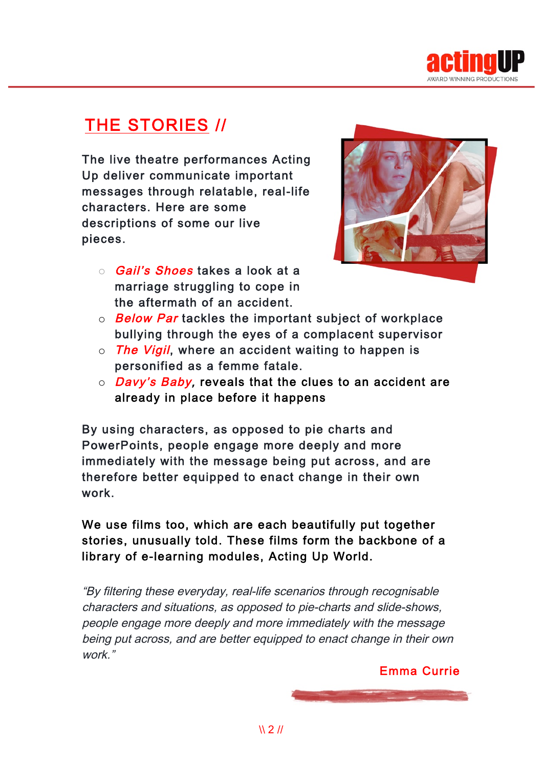

## THE STORIES //

The live theatre performances Acting Up deliver communicate important messages through relatable, real-life characters. Here are some descriptions of some our live pieces.



- o **Gail's Shoes** takes a look at a marriage struggling to cope in the aftermath of an accident.
- $\circ$  Below Par tackles the important subject of workplace bullying through the eyes of a complacent supervisor
- $\circ$  The Vigil, where an accident waiting to happen is personified as a femme fatale.
- $\circ$  *Davy's Baby,* reveals that the clues to an accident are already in place before it happens

By using characters, as opposed to pie charts and PowerPoints, people engage more deeply and more immediately with the message being put across, and are therefore better equipped to enact change in their own work.

We use films too, which are each beautifully put together stories, unusually told. These films form the backbone of a library of e-learning modules, Acting Up World.

"By filtering these everyday, real-life scenarios through recognisable characters and situations, as opposed to pie-charts and slide-shows, people engage more deeply and more immediately with the message being put across, and are better equipped to enact change in their own work."

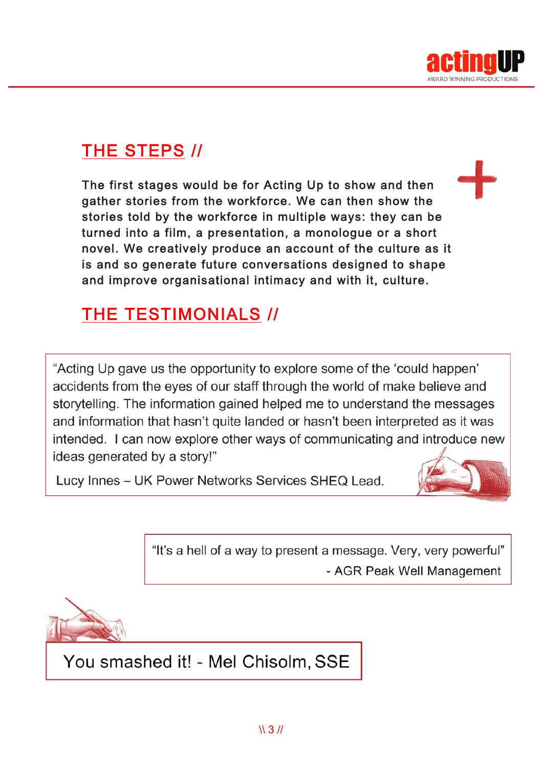

# THE STEPS //

The first stages would be for Acting Up to show and then gather stories from the workforce. We can then show the stories told by the workforce in multiple ways: they can be turned into a film, a presentation, a monologue or a short novel. We creatively produce an account of the culture as it is and so generate future conversations designed to shape and improve organisational intimacy and with it, culture.

## THE TESTIMONIALS //

"Acting Up gave us the opportunity to explore some of the 'could happen' accidents from the eyes of our staff through the world of make believe and storytelling. The information gained helped me to understand the messages and information that hasn't quite landed or hasn't been interpreted as it was intended. I can now explore other ways of communicating and introduce new ideas generated by a story!"

Lucy Innes - UK Power Networks Services SHEQ Lead.



"It's a hell of a way to present a message. Very, very powerful" - AGR Peak Well Management



You smashed it! - Mel Chisolm, SSE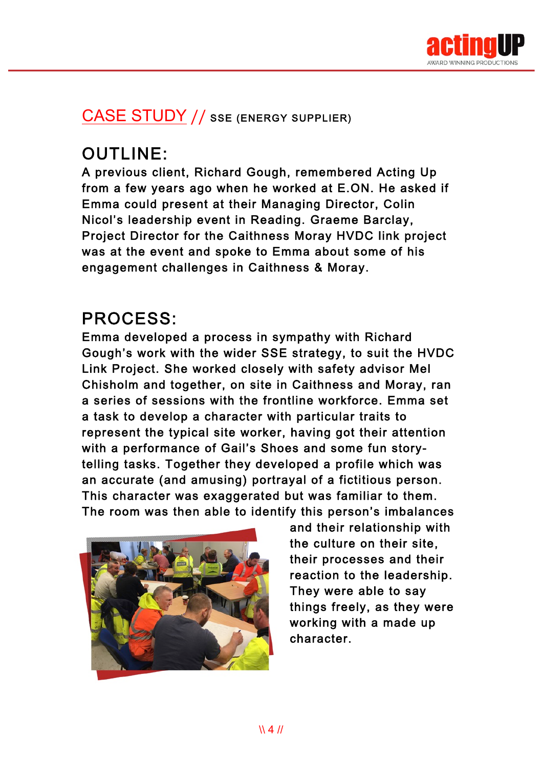

#### CASE STUDY // SSE (ENERGY SUPPLIER)

# OUTLINE:

A previous client, Richard Gough, remembered Acting Up from a few years ago when he worked at E.ON. He asked if Emma could present at their Managing Director, Colin Nicol's leadership event in Reading. Graeme Barclay, Project Director for the Caithness Moray HVDC link project was at the event and spoke to Emma about some of his engagement challenges in Caithness & Moray.

## PROCESS:

Emma developed a process in sympathy with Richard Gough's work with the wider SSE strategy, to suit the HVDC Link Project. She worked closely with safety advisor Mel Chisholm and together, on site in Caithness and Moray, ran a series of sessions with the frontline workforce. Emma set a task to develop a character with particular traits to represent the typical site worker, having got their attention with a performance of Gail's Shoes and some fun storytelling tasks. Together they developed a profile which was an accurate (and amusing) portrayal of a fictitious person. This character was exaggerated but was familiar to them. The room was then able to identify this person's imbalances



and their relationship with the culture on their site, their processes and their reaction to the leadership. They were able to say things freely, as they were working with a made up character.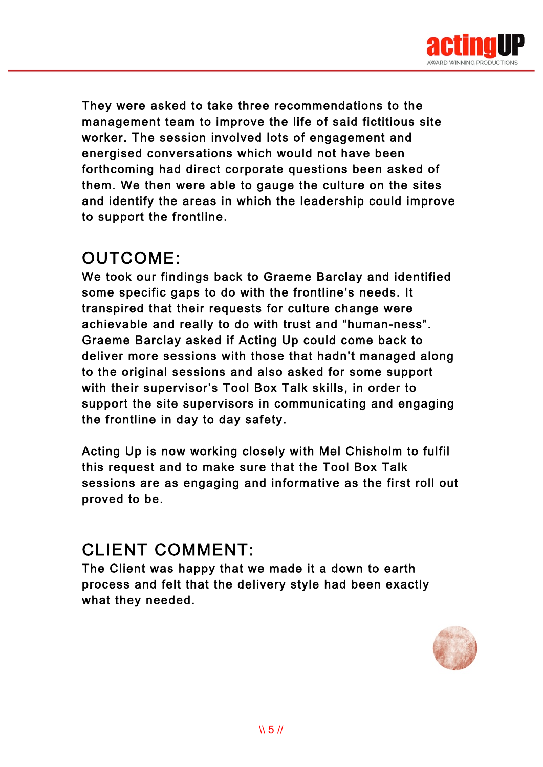

They were asked to take three recommendations to the management team to improve the life of said fictitious site worker. The session involved lots of engagement and energised conversations which would not have been forthcoming had direct corporate questions been asked of them. We then were able to gauge the culture on the sites and identify the areas in which the leadership could improve to support the frontline.

#### OUTCOME:

We took our findings back to Graeme Barclay and identified some specific gaps to do with the frontline's needs. It transpired that their requests for culture change were achievable and really to do with trust and "human-ness". Graeme Barclay asked if Acting Up could come back to deliver more sessions with those that hadn't managed along to the original sessions and also asked for some support with their supervisor's Tool Box Talk skills, in order to support the site supervisors in communicating and engaging the frontline in day to day safety.

Acting Up is now working closely with Mel Chisholm to fulfil this request and to make sure that the Tool Box Talk sessions are as engaging and informative as the first roll out proved to be.

#### CLIENT COMMENT:

The Client was happy that we made it a down to earth process and felt that the delivery style had been exactly what they needed.

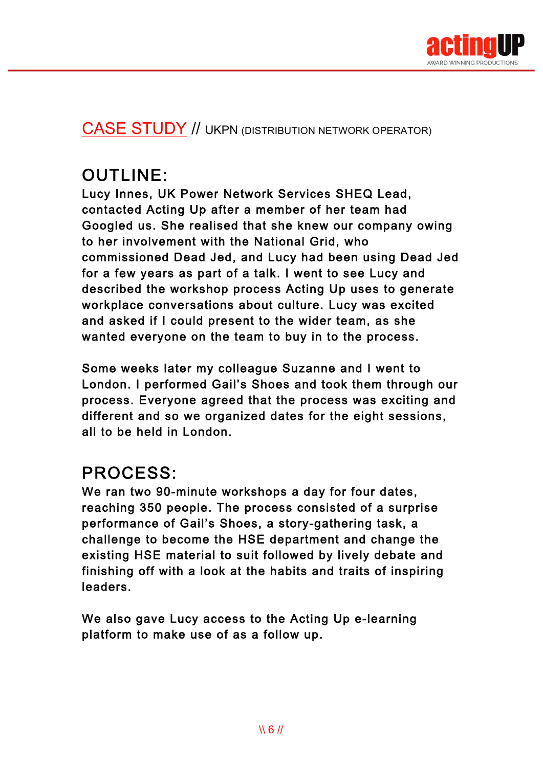

#### CASE STUDY // UKPN (DISTRIBUTION NETWORK OPERATOR)

## OUTLINE:

Lucy Innes, UK Power Network Services SHEQ Lead, contacted Acting Up after a member of her team had Googled us. She realised that she knew our company owing to her involvement with the National Grid, who commissioned Dead Jed, and Lucy had been using Dead Jed for a few years as part of a talk. I went to see Lucy and described the workshop process Acting Up uses to generate workplace conversations about culture. Lucy was excited and asked if I could present to the wider team, as she wanted everyone on the team to buy in to the process.

Some weeks later my colleague Suzanne and I went to London. I performed Gail's Shoes and took them through our process. Everyone agreed that the process was exciting and different and so we organized dates for the eight sessions, all to be held in London.

## PROCESS:

We ran two 90-minute workshops a day for four dates, reaching 350 people. The process consisted of a surprise performance of Gail's Shoes, a story-gathering task, a challenge to become the HSE department and change the existing HSE material to suit followed by lively debate and finishing off with a look at the habits and traits of inspiring leaders.

We also gave Lucy access to the Acting Up e-learning platform to make use of as a follow up.